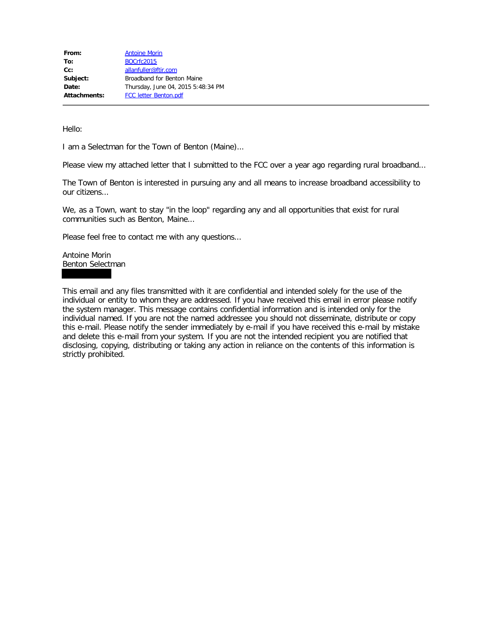| From:        | <b>Antoine Morin</b>               |
|--------------|------------------------------------|
| To:          | <b>BOCrfc2015</b>                  |
| $Cc$ :       | allanfuller@ftir.com               |
| Subject:     | Broadband for Benton Maine         |
| Date:        | Thursday, June 04, 2015 5:48:34 PM |
| Attachments: | <b>FCC letter Benton.pdf</b>       |
|              |                                    |

Hello:

I am a Selectman for the Town of Benton (Maine)...

Please view my attached letter that I submitted to the FCC over a year ago regarding rural broadband...

The Town of Benton is interested in pursuing any and all means to increase broadband accessibility to our citizens...

We, as a Town, want to stay "in the loop" regarding any and all opportunities that exist for rural communities such as Benton, Maine...

Please feel free to contact me with any questions...

Antoine Morin Benton Selectman

This email and any files transmitted with it are confidential and intended solely for the use of the individual or entity to whom they are addressed. If you have received this email in error please notify the system manager. This message contains confidential information and is intended only for the individual named. If you are not the named addressee you should not disseminate, distribute or copy this e-mail. Please notify the sender immediately by e-mail if you have received this e-mail by mistake and delete this e-mail from your system. If you are not the intended recipient you are notified that disclosing, copying, distributing or taking any action in reliance on the contents of this information is strictly prohibited.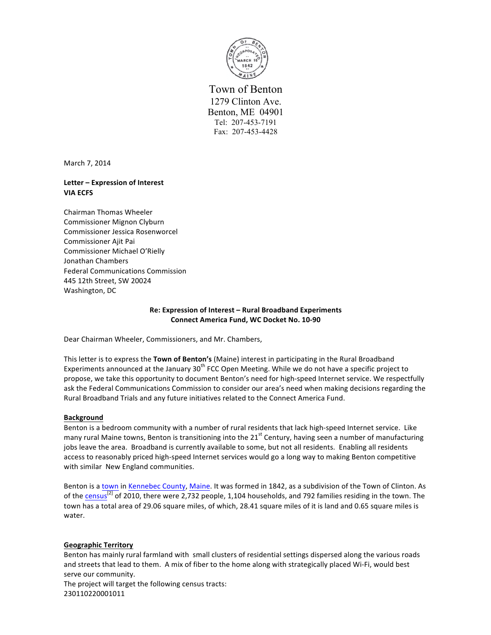

 Town of Benton 1279 Clinton Ave. Benton, ME 04901 Tel: 207-453-7191 Fax: 207-453-4428

March 7, 2014

# **Letter – Expression of Interest VIA ECFS**

Chairman Thomas Wheeler Commissioner Mignon Clyburn Commissioner Jessica Rosenworcel Commissioner Ajit Pai Commissioner Michael O'Rielly Jonathan Chambers Federal Communications Commission 445 12th Street, SW 20024 Washington, DC

# **Re: Expression of Interest – Rural Broadband Experiments Connect America Fund, WC Docket No. 10-90**

Dear Chairman Wheeler, Commissioners, and Mr. Chambers,

This letter is to express the **Town of Benton's** (Maine) interest in participating in the Rural Broadband Experiments announced at the January  $30<sup>th</sup>$  FCC Open Meeting. While we do not have a specific project to propose, we take this opportunity to document Benton's need for high-speed Internet service. We respectfully ask the Federal Communications Commission to consider our area's need when making decisions regarding the Rural Broadband Trials and any future initiatives related to the Connect America Fund.

# **Background**

Benton is a bedroom community with a number of rural residents that lack high-speed Internet service. Like many rural Maine towns, Benton is transitioning into the 21<sup>st</sup> Century, having seen a number of manufacturing jobs leave the area. Broadband is currently available to some, but not all residents. Enabling all residents access to reasonably priced high-speed Internet services would go a long way to making Benton competitive with similar New England communities.

Benton is a town in Kennebec County, Maine. It was formed in 1842, as a subdivision of the Town of Clinton. As of the census<sup>[2]</sup> of 2010, there were 2,732 people, 1,104 households, and 792 families residing in the town. The town has a total area of 29.06 square miles, of which, 28.41 square miles of it is land and 0.65 square miles is water.

### **Geographic Territory**

Benton has mainly rural farmland with small clusters of residential settings dispersed along the various roads and streets that lead to them. A mix of fiber to the home along with strategically placed Wi-Fi, would best serve our community.

The project will target the following census tracts: 230110220001011